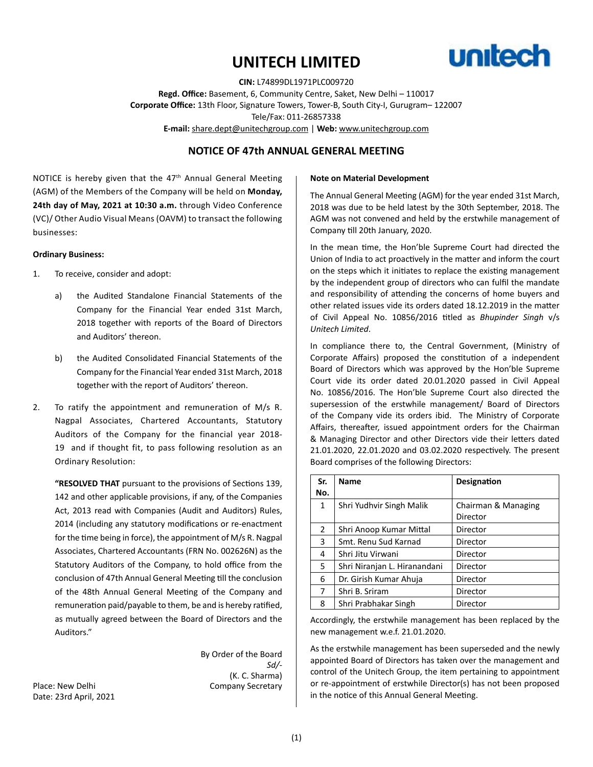# **UNITECH LIMITED**



**CIN:** L74899DL1971PLC009720 **Regd. Office:** Basement, 6, Community Centre, Saket, New Delhi – 110017 **Corporate Office:** 13th Floor, Signature Towers, Tower-B, South City-I, Gurugram– 122007 Tele/Fax: 011-26857338 **E-mail:** share.dept@unitechgroup.com | **Web:** www.unitechgroup.com

# **NOTICE OF 47th ANNUAL GENERAL MEETING**

NOTICE is hereby given that the 47<sup>th</sup> Annual General Meeting (AGM) of the Members of the Company will be held on **Monday, 24th day of May, 2021 at 10:30 a.m.** through Video Conference (VC)/ Other Audio Visual Means (OAVM) to transact the following businesses:

#### **Ordinary Business:**

- 1. To receive, consider and adopt:
	- a) the Audited Standalone Financial Statements of the Company for the Financial Year ended 31st March, 2018 together with reports of the Board of Directors and Auditors' thereon.
	- b) the Audited Consolidated Financial Statements of the Company for the Financial Year ended 31st March, 2018 together with the report of Auditors' thereon.
- 2. To ratify the appointment and remuneration of M/s R. Nagpal Associates, Chartered Accountants, Statutory Auditors of the Company for the financial year 2018- 19 and if thought fit, to pass following resolution as an Ordinary Resolution:

**"RESOLVED THAT** pursuant to the provisions of Sections 139, 142 and other applicable provisions, if any, of the Companies Act, 2013 read with Companies (Audit and Auditors) Rules, 2014 (including any statutory modifications or re-enactment for the time being in force), the appointment of M/s R. Nagpal Associates, Chartered Accountants (FRN No. 002626N) as the Statutory Auditors of the Company, to hold office from the conclusion of 47th Annual General Meeting till the conclusion of the 48th Annual General Meeting of the Company and remuneration paid/payable to them, be and is hereby ratified, as mutually agreed between the Board of Directors and the Auditors."

By Order of the Board *Sd/-* (K. C. Sharma) Place: New Delhi **Company Secretary** 

Date: 23rd April, 2021

#### **Note on Material Development**

The Annual General Meeting (AGM) for the year ended 31st March, 2018 was due to be held latest by the 30th September, 2018. The AGM was not convened and held by the erstwhile management of Company till 20th January, 2020.

In the mean time, the Hon'ble Supreme Court had directed the Union of India to act proactively in the matter and inform the court on the steps which it initiates to replace the existing management by the independent group of directors who can fulfil the mandate and responsibility of attending the concerns of home buyers and other related issues vide its orders dated 18.12.2019 in the matter of Civil Appeal No. 10856/2016 titled as *Bhupinder Singh* v/s *Unitech Limited*.

In compliance there to, the Central Government, (Ministry of Corporate Affairs) proposed the constitution of a independent Board of Directors which was approved by the Hon'ble Supreme Court vide its order dated 20.01.2020 passed in Civil Appeal No. 10856/2016. The Hon'ble Supreme Court also directed the supersession of the erstwhile management/ Board of Directors of the Company vide its orders ibid. The Ministry of Corporate Affairs, thereafter, issued appointment orders for the Chairman & Managing Director and other Directors vide their letters dated 21.01.2020, 22.01.2020 and 03.02.2020 respectively. The present Board comprises of the following Directors:

| Sr.            | <b>Name</b>                      | Designation         |
|----------------|----------------------------------|---------------------|
| No.            |                                  |                     |
| $\mathbf{1}$   | Shri Yudhvir Singh Malik         | Chairman & Managing |
|                |                                  | Director            |
| $\overline{2}$ | Shri Anoop Kumar Mittal          | Director            |
| 3              | Smt. Renu Sud Karnad             | Director            |
| 4              | Shri Jitu Virwani<br>Director    |                     |
| 5              | Shri Niranjan L. Hiranandani     | Director            |
| 6              | Dr. Girish Kumar Ahuja           | Director            |
| 7              | Shri B. Sriram                   | Director            |
| 8              | Shri Prabhakar Singh<br>Director |                     |

Accordingly, the erstwhile management has been replaced by the new management w.e.f. 21.01.2020.

As the erstwhile management has been superseded and the newly appointed Board of Directors has taken over the management and control of the Unitech Group, the item pertaining to appointment or re-appointment of erstwhile Director(s) has not been proposed in the notice of this Annual General Meeting.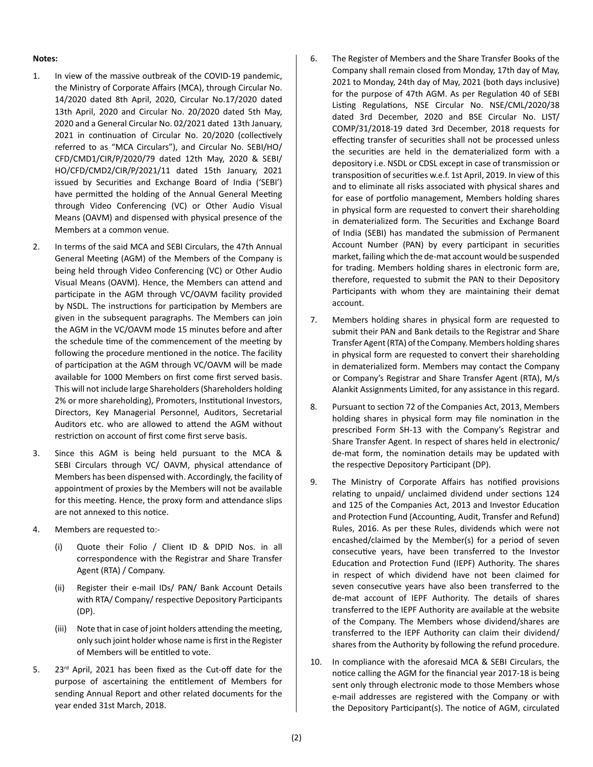#### **Notes:**

- 1. In view of the massive outbreak of the COVID-19 pandemic, the Ministry of Corporate Affairs (MCA), through Circular No. 14/2020 dated 8th April, 2020, Circular No.17/2020 dated 13th April, 2020 and Circular No. 20/2020 dated 5th May, 2020 and a General Circular No. 02/2021 dated 13th January, 2021 in continuation of Circular No. 20/2020 (collectively referred to as "MCA Circulars"), and Circular No. SEBI/HO/ CFD/CMD1/CIR/P/2020/79 dated 12th May, 2020 & SEBI/ HO/CFD/CMD2/CIR/P/2021/11 dated 15th January, 2021 issued by Securities and Exchange Board of India ('SEBI') have permitted the holding of the Annual General Meeting through Video Conferencing (VC) or Other Audio Visual Means (OAVM) and dispensed with physical presence of the Members at a common venue.
- 2. In terms of the said MCA and SEBI Circulars, the 47th Annual General Meeting (AGM) of the Members of the Company is being held through Video Conferencing (VC) or Other Audio Visual Means (OAVM). Hence, the Members can attend and participate in the AGM through VC/OAVM facility provided by NSDL. The instructions for participation by Members are given in the subsequent paragraphs. The Members can join the AGM in the VC/OAVM mode 15 minutes before and after the schedule time of the commencement of the meeting by following the procedure mentioned in the notice. The facility of participation at the AGM through VC/OAVM will be made available for 1000 Members on first come first served basis. This will not include large Shareholders (Shareholders holding 2% or more shareholding), Promoters, Institutional Investors, Directors, Key Managerial Personnel, Auditors, Secretarial Auditors etc. who are allowed to attend the AGM without restriction on account of first come first serve basis.
- 3. Since this AGM is being held pursuant to the MCA & SEBI Circulars through VC/ OAVM, physical attendance of Members has been dispensed with. Accordingly, the facility of appointment of proxies by the Members will not be available for this meeting. Hence, the proxy form and attendance slips are not annexed to this notice.
- 4. Members are requested to:-
	- (i) Quote their Folio / Client ID & DPID Nos. in all correspondence with the Registrar and Share Transfer Agent (RTA) / Company.
	- (ii) Register their e-mail IDs/ PAN/ Bank Account Details with RTA/ Company/ respective Depository Participants (DP).
	- (iii) Note that in case of joint holders attending the meeting, only such joint holder whose name is first in the Register of Members will be entitled to vote.
- 5. 23<sup>rd</sup> April, 2021 has been fixed as the Cut-off date for the purpose of ascertaining the entitlement of Members for sending Annual Report and other related documents for the year ended 31st March, 2018.
- 6. The Register of Members and the Share Transfer Books of the Company shall remain closed from Monday, 17th day of May, 2021 to Monday, 24th day of May, 2021 (both days inclusive) for the purpose of 47th AGM. As per Regulation 40 of SEBI Listing Regulations, NSE Circular No. NSE/CML/2020/38 dated 3rd December, 2020 and BSE Circular No. LIST/ COMP/31/2018-19 dated 3rd December, 2018 requests for effecting transfer of securities shall not be processed unless the securities are held in the dematerialized form with a depository i.e. NSDL or CDSL except in case of transmission or transposition of securities w.e.f. 1st April, 2019. In view of this and to eliminate all risks associated with physical shares and for ease of portfolio management, Members holding shares in physical form are requested to convert their shareholding in dematerialized form. The Securities and Exchange Board of India (SEBI) has mandated the submission of Permanent Account Number (PAN) by every participant in securities market, failing which the de-mat account would be suspended for trading. Members holding shares in electronic form are, therefore, requested to submit the PAN to their Depository Participants with whom they are maintaining their demat account.
- 7. Members holding shares in physical form are requested to submit their PAN and Bank details to the Registrar and Share Transfer Agent (RTA) of the Company. Members holding shares in physical form are requested to convert their shareholding in dematerialized form. Members may contact the Company or Company's Registrar and Share Transfer Agent (RTA), M/s Alankit Assignments Limited, for any assistance in this regard.
- 8. Pursuant to section 72 of the Companies Act, 2013, Members holding shares in physical form may file nomination in the prescribed Form SH-13 with the Company's Registrar and Share Transfer Agent. In respect of shares held in electronic/ de-mat form, the nomination details may be updated with the respective Depository Participant (DP).
- 9. The Ministry of Corporate Affairs has notified provisions relating to unpaid/ unclaimed dividend under sections 124 and 125 of the Companies Act, 2013 and Investor Education and Protection Fund (Accounting, Audit, Transfer and Refund) Rules, 2016. As per these Rules, dividends which were not encashed/claimed by the Member(s) for a period of seven consecutive years, have been transferred to the Investor Education and Protection Fund (IEPF) Authority. The shares in respect of which dividend have not been claimed for seven consecutive years have also been transferred to the de-mat account of IEPF Authority. The details of shares transferred to the IEPF Authority are available at the website of the Company. The Members whose dividend/shares are transferred to the IEPF Authority can claim their dividend/ shares from the Authority by following the refund procedure.
- 10. In compliance with the aforesaid MCA & SEBI Circulars, the notice calling the AGM for the financial year 2017-18 is being sent only through electronic mode to those Members whose e-mail addresses are registered with the Company or with the Depository Participant(s). The notice of AGM, circulated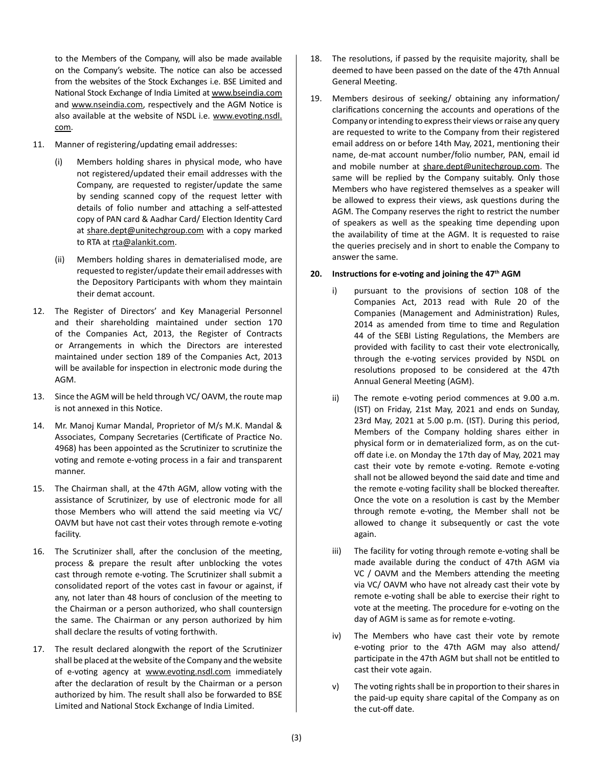to the Members of the Company, will also be made available on the Company's website. The notice can also be accessed from the websites of the Stock Exchanges i.e. BSE Limited and National Stock Exchange of India Limited at www.bseindia.com and www.nseindia.com, respectively and the AGM Notice is also available at the website of NSDL i.e. www.evoting.nsdl. com.

- 11. Manner of registering/updating email addresses:
	- (i) Members holding shares in physical mode, who have not registered/updated their email addresses with the Company, are requested to register/update the same by sending scanned copy of the request letter with details of folio number and attaching a self-attested copy of PAN card & Aadhar Card/ Election Identity Card at share.dept@unitechgroup.com with a copy marked to RTA at rta@alankit.com.
	- (ii) Members holding shares in dematerialised mode, are requested to register/update their email addresses with the Depository Participants with whom they maintain their demat account.
- 12. The Register of Directors' and Key Managerial Personnel and their shareholding maintained under section 170 of the Companies Act, 2013, the Register of Contracts or Arrangements in which the Directors are interested maintained under section 189 of the Companies Act, 2013 will be available for inspection in electronic mode during the AGM.
- 13. Since the AGM will be held through VC/ OAVM, the route map is not annexed in this Notice.
- 14. Mr. Manoj Kumar Mandal, Proprietor of M/s M.K. Mandal & Associates, Company Secretaries (Certificate of Practice No. 4968) has been appointed as the Scrutinizer to scrutinize the voting and remote e-voting process in a fair and transparent manner.
- 15. The Chairman shall, at the 47th AGM, allow voting with the assistance of Scrutinizer, by use of electronic mode for all those Members who will attend the said meeting via VC/ OAVM but have not cast their votes through remote e-voting facility.
- 16. The Scrutinizer shall, after the conclusion of the meeting, process & prepare the result after unblocking the votes cast through remote e-voting. The Scrutinizer shall submit a consolidated report of the votes cast in favour or against, if any, not later than 48 hours of conclusion of the meeting to the Chairman or a person authorized, who shall countersign the same. The Chairman or any person authorized by him shall declare the results of voting forthwith.
- 17. The result declared alongwith the report of the Scrutinizer shall be placed at the website of the Company and the website of e-voting agency at www.evoting.nsdl.com immediately after the declaration of result by the Chairman or a person authorized by him. The result shall also be forwarded to BSE Limited and National Stock Exchange of India Limited.
- 18. The resolutions, if passed by the requisite majority, shall be deemed to have been passed on the date of the 47th Annual General Meeting.
- 19. Members desirous of seeking/ obtaining any information/ clarifications concerning the accounts and operations of the Company or intending to express their views or raise any query are requested to write to the Company from their registered email address on or before 14th May, 2021, mentioning their name, de-mat account number/folio number, PAN, email id and mobile number at share.dept@unitechgroup.com. The same will be replied by the Company suitably. Only those Members who have registered themselves as a speaker will be allowed to express their views, ask questions during the AGM. The Company reserves the right to restrict the number of speakers as well as the speaking time depending upon the availability of time at the AGM. It is requested to raise the queries precisely and in short to enable the Company to answer the same.

#### **20. Instructions for e-voting and joining the 47th AGM**

- i) pursuant to the provisions of section 108 of the Companies Act, 2013 read with Rule 20 of the Companies (Management and Administration) Rules, 2014 as amended from time to time and Regulation 44 of the SEBI Listing Regulations, the Members are provided with facility to cast their vote electronically, through the e-voting services provided by NSDL on resolutions proposed to be considered at the 47th Annual General Meeting (AGM).
- ii) The remote e-voting period commences at 9.00 a.m. (IST) on Friday, 21st May, 2021 and ends on Sunday, 23rd May, 2021 at 5.00 p.m. (IST). During this period, Members of the Company holding shares either in physical form or in dematerialized form, as on the cutoff date i.e. on Monday the 17th day of May, 2021 may cast their vote by remote e-voting. Remote e-voting shall not be allowed beyond the said date and time and the remote e-voting facility shall be blocked thereafter. Once the vote on a resolution is cast by the Member through remote e-voting, the Member shall not be allowed to change it subsequently or cast the vote again.
- iii) The facility for voting through remote e-voting shall be made available during the conduct of 47th AGM via VC / OAVM and the Members attending the meeting via VC/ OAVM who have not already cast their vote by remote e-voting shall be able to exercise their right to vote at the meeting. The procedure for e-voting on the day of AGM is same as for remote e-voting.
- iv) The Members who have cast their vote by remote e-voting prior to the 47th AGM may also attend/ participate in the 47th AGM but shall not be entitled to cast their vote again.
- v) The voting rights shall be in proportion to their shares in the paid-up equity share capital of the Company as on the cut-off date.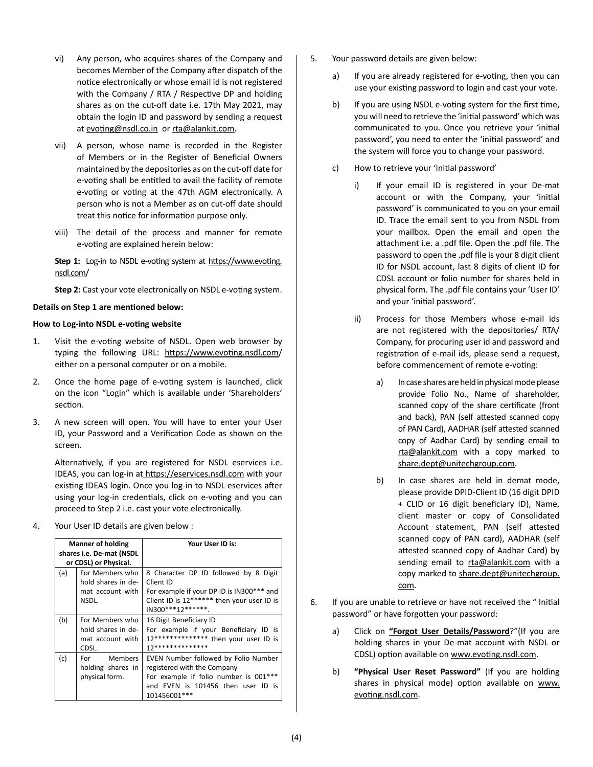- vi) Any person, who acquires shares of the Company and becomes Member of the Company after dispatch of the notice electronically or whose email id is not registered with the Company / RTA / Respective DP and holding shares as on the cut-off date i.e. 17th May 2021, may obtain the login ID and password by sending a request at evoting@nsdl.co.in or rta@alankit.com.
- vii) A person, whose name is recorded in the Register of Members or in the Register of Beneficial Owners maintained by the depositories as on the cut-off date for e-voting shall be entitled to avail the facility of remote e-voting or voting at the 47th AGM electronically. A person who is not a Member as on cut-off date should treat this notice for information purpose only.
- viii) The detail of the process and manner for remote e-voting are explained herein below:

Step 1: Log-in to NSDL e-voting system at https://www.evoting. nsdl.com/

**Step 2:** Cast your vote electronically on NSDL e-voting system.

#### **Details on Step 1 are mentioned below:**

#### **How to Log-into NSDL e-voting website**

- 1. Visit the e-voting website of NSDL. Open web browser by typing the following URL: https://www.evoting.nsdl.com/ either on a personal computer or on a mobile.
- 2. Once the home page of e-voting system is launched, click on the icon "Login" which is available under 'Shareholders' section.
- 3. A new screen will open. You will have to enter your User ID, your Password and a Verification Code as shown on the screen.

Alternatively, if you are registered for NSDL eservices i.e. IDEAS, you can log-in at https://eservices.nsdl.com with your existing IDEAS login. Once you log-in to NSDL eservices after using your log-in credentials, click on e-voting and you can proceed to Step 2 i.e. cast your vote electronically.

4. Your User ID details are given below :

| <b>Manner of holding</b><br>shares i.e. De-mat (NSDL<br>or CDSL) or Physical. |                                                                    | Your User ID is:                                                                                                                                                    |
|-------------------------------------------------------------------------------|--------------------------------------------------------------------|---------------------------------------------------------------------------------------------------------------------------------------------------------------------|
| (a)                                                                           | For Members who<br>hold shares in de-<br>mat account with<br>NSDL. | 8 Character DP ID followed by 8 Digit<br>Client ID<br>For example if your DP ID is IN300*** and<br>Client ID is 12****** then your user ID is<br>IN300***12******.  |
| (b)                                                                           | For Members who<br>hold shares in de-<br>mat account with<br>CDSL. | 16 Digit Beneficiary ID<br>For example if your Beneficiary ID is<br>12************** then your user ID is<br>12**************                                       |
| (c)                                                                           | <b>Members</b><br>For<br>holding shares in<br>physical form.       | EVEN Number followed by Folio Number<br>registered with the Company<br>For example if folio number is 001***<br>and EVEN is 101456 then user ID is<br>101456001 *** |

- 5. Your password details are given below:
	- a) If you are already registered for e-voting, then you can use your existing password to login and cast your vote.
	- b) If you are using NSDL e-voting system for the first time, you will need to retrieve the 'initial password' which was communicated to you. Once you retrieve your 'initial password', you need to enter the 'initial password' and the system will force you to change your password.
	- c) How to retrieve your 'initial password'
		- i) If your email ID is registered in your De-mat account or with the Company, your 'initial password' is communicated to you on your email ID. Trace the email sent to you from NSDL from your mailbox. Open the email and open the attachment i.e. a .pdf file. Open the .pdf file. The password to open the .pdf file is your 8 digit client ID for NSDL account, last 8 digits of client ID for CDSL account or folio number for shares held in physical form. The .pdf file contains your 'User ID' and your 'initial password'.
		- ii) Process for those Members whose e-mail ids are not registered with the depositories/ RTA/ Company, for procuring user id and password and registration of e-mail ids, please send a request, before commencement of remote e-voting:
			- a) In case shares are held in physical mode please provide Folio No., Name of shareholder, scanned copy of the share certificate (front and back), PAN (self attested scanned copy of PAN Card), AADHAR (self attested scanned copy of Aadhar Card) by sending email to rta@alankit.com with a copy marked to share.dept@unitechgroup.com.
			- b) In case shares are held in demat mode, please provide DPID-Client ID (16 digit DPID + CLID or 16 digit beneficiary ID), Name, client master or copy of Consolidated Account statement, PAN (self attested scanned copy of PAN card), AADHAR (self attested scanned copy of Aadhar Card) by sending email to rta@alankit.com with a copy marked to share.dept@unitechgroup. com.
- 6. If you are unable to retrieve or have not received the " Initial password" or have forgotten your password:
	- a) Click on **"Forgot User Details/Password**?"(If you are holding shares in your De-mat account with NSDL or CDSL) option available on www.evoting.nsdl.com.
	- b) **"Physical User Reset Password"** (If you are holding shares in physical mode) option available on www. evoting.nsdl.com.